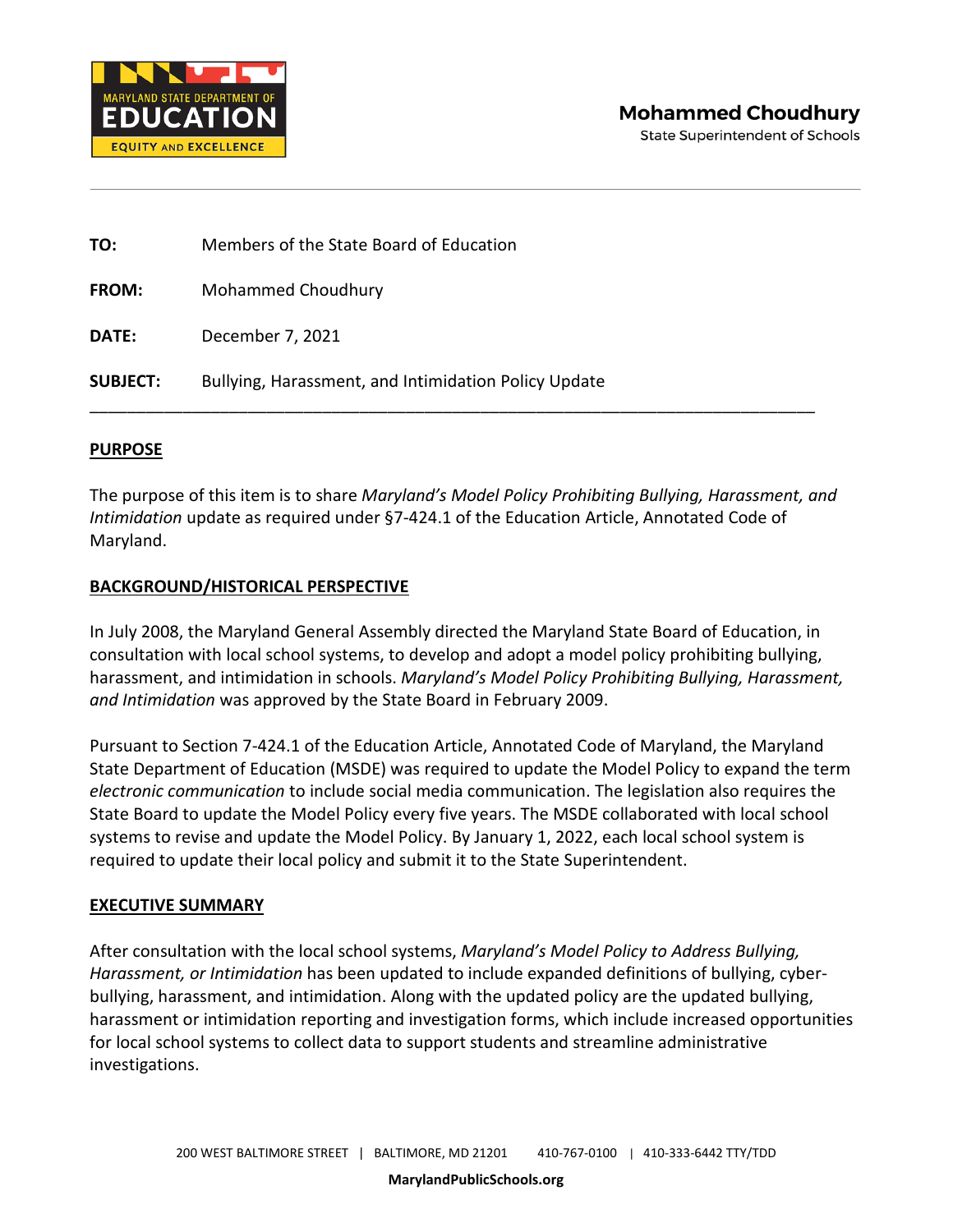

| TO:             | Members of the State Board of Education              |
|-----------------|------------------------------------------------------|
| <b>FROM:</b>    | Mohammed Choudhury                                   |
| DATE:           | December 7, 2021                                     |
| <b>SUBJECT:</b> | Bullying, Harassment, and Intimidation Policy Update |

## **PURPOSE**

The purpose of this item is to share *Maryland's Model Policy Prohibiting Bullying, Harassment, and Intimidation* update as required under §7-424.1 of the Education Article, Annotated Code of Maryland.

## **BACKGROUND/HISTORICAL PERSPECTIVE**

In July 2008, the Maryland General Assembly directed the Maryland State Board of Education, in consultation with local school systems, to develop and adopt a model policy prohibiting bullying, harassment, and intimidation in schools. *Maryland's Model Policy Prohibiting Bullying, Harassment, and Intimidation* was approved by the State Board in February 2009.

Pursuant to Section 7-424.1 of the Education Article, Annotated Code of Maryland, the Maryland State Department of Education (MSDE) was required to update the Model Policy to expand the term *electronic communication* to include social media communication. The legislation also requires the State Board to update the Model Policy every five years. The MSDE collaborated with local school systems to revise and update the Model Policy. By January 1, 2022, each local school system is required to update their local policy and submit it to the State Superintendent.

## **EXECUTIVE SUMMARY**

After consultation with the local school systems, *Maryland's Model Policy to Address Bullying, Harassment, or Intimidation* has been updated to include expanded definitions of bullying, cyberbullying, harassment, and intimidation. Along with the updated policy are the updated bullying, harassment or intimidation reporting and investigation forms, which include increased opportunities for local school systems to collect data to support students and streamline administrative investigations.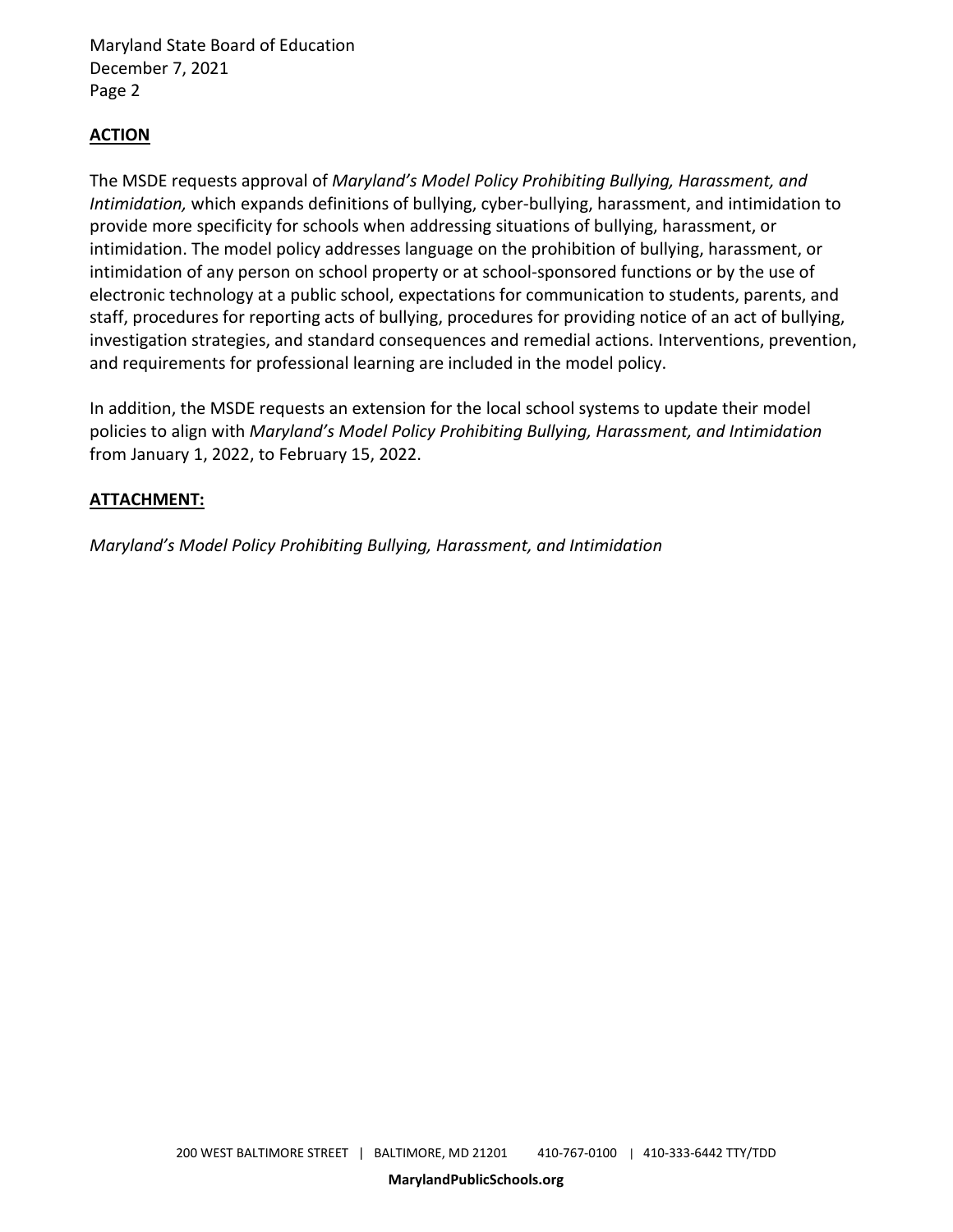Maryland State Board of Education December 7, 2021 Page 2

## **ACTION**

The MSDE requests approval of *Maryland's Model Policy Prohibiting Bullying, Harassment, and Intimidation,* which expands definitions of bullying, cyber-bullying, harassment, and intimidation to provide more specificity for schools when addressing situations of bullying, harassment, or intimidation. The model policy addresses language on the prohibition of bullying, harassment, or intimidation of any person on school property or at school-sponsored functions or by the use of electronic technology at a public school, expectations for communication to students, parents, and staff, procedures for reporting acts of bullying, procedures for providing notice of an act of bullying, investigation strategies, and standard consequences and remedial actions. Interventions, prevention, and requirements for professional learning are included in the model policy.

In addition, the MSDE requests an extension for the local school systems to update their model policies to align with *Maryland's Model Policy Prohibiting Bullying, Harassment, and Intimidation*  from January 1, 2022, to February 15, 2022.

## **ATTACHMENT:**

*Maryland's Model Policy Prohibiting Bullying, Harassment, and Intimidation*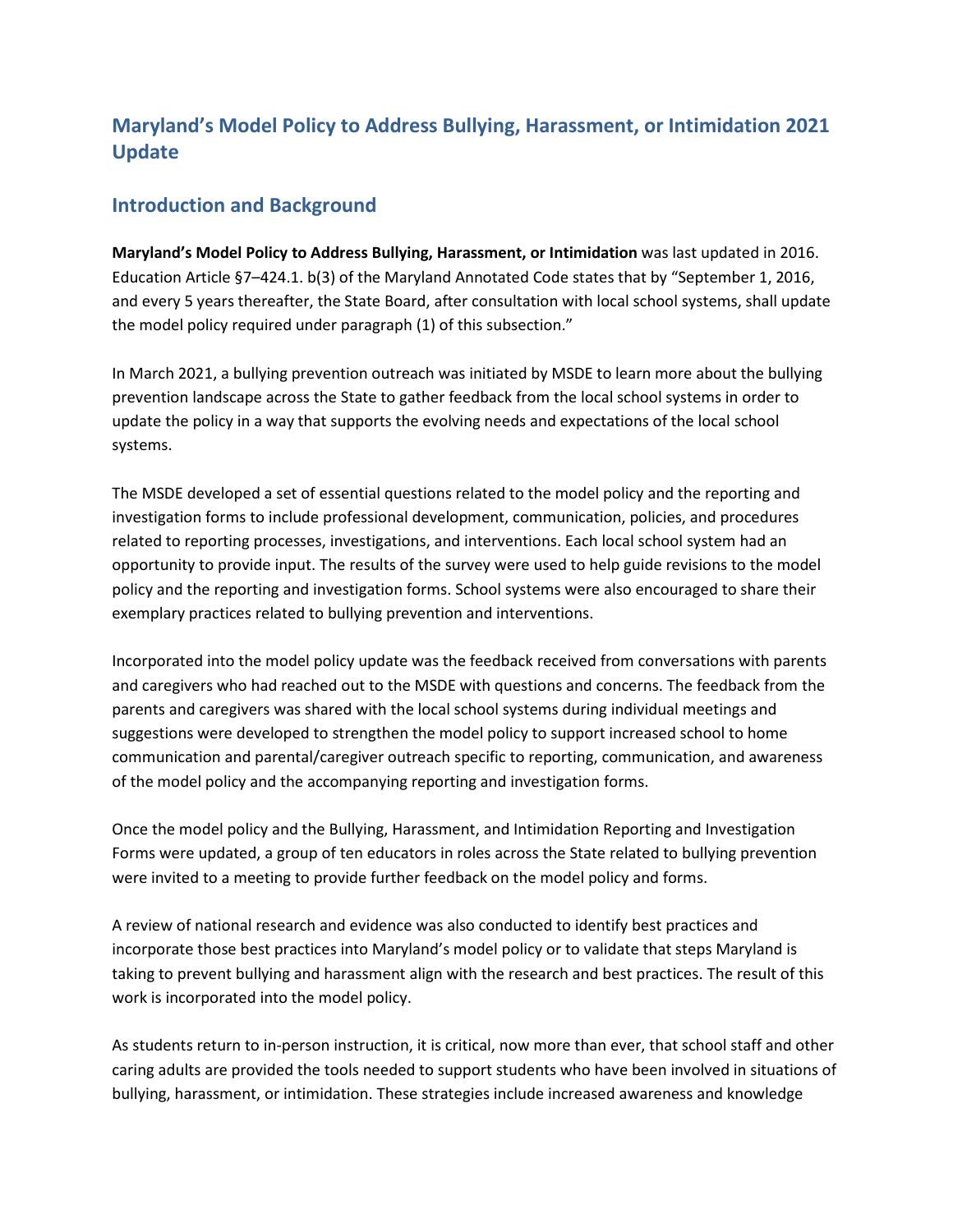## **Maryland's Model Policy to Address Bullying, Harassment, or Intimidation 2021 Update**

## **Introduction and Background**

**Maryland's Model Policy to Address Bullying, Harassment, or Intimidation** was last updated in 2016. Education Article §7–424.1. b(3) of the Maryland Annotated Code states that by "September 1, 2016, and every 5 years thereafter, the State Board, after consultation with local school systems, shall update the model policy required under paragraph (1) of this subsection."

In March 2021, a bullying prevention outreach was initiated by MSDE to learn more about the bullying prevention landscape across the State to gather feedback from the local school systems in order to update the policy in a way that supports the evolving needs and expectations of the local school systems.

The MSDE developed a set of essential questions related to the model policy and the reporting and investigation forms to include professional development, communication, policies, and procedures related to reporting processes, investigations, and interventions. Each local school system had an opportunity to provide input. The results of the survey were used to help guide revisions to the model policy and the reporting and investigation forms. School systems were also encouraged to share their exemplary practices related to bullying prevention and interventions.

Incorporated into the model policy update was the feedback received from conversations with parents and caregivers who had reached out to the MSDE with questions and concerns. The feedback from the parents and caregivers was shared with the local school systems during individual meetings and suggestions were developed to strengthen the model policy to support increased school to home communication and parental/caregiver outreach specific to reporting, communication, and awareness of the model policy and the accompanying reporting and investigation forms.

Once the model policy and the Bullying, Harassment, and Intimidation Reporting and Investigation Forms were updated, a group of ten educators in roles across the State related to bullying prevention were invited to a meeting to provide further feedback on the model policy and forms.

A review of national research and evidence was also conducted to identify best practices and incorporate those best practices into Maryland's model policy or to validate that steps Maryland is taking to prevent bullying and harassment align with the research and best practices. The result of this work is incorporated into the model policy.

As students return to in-person instruction, it is critical, now more than ever, that school staff and other caring adults are provided the tools needed to support students who have been involved in situations of bullying, harassment, or intimidation. These strategies include increased awareness and knowledge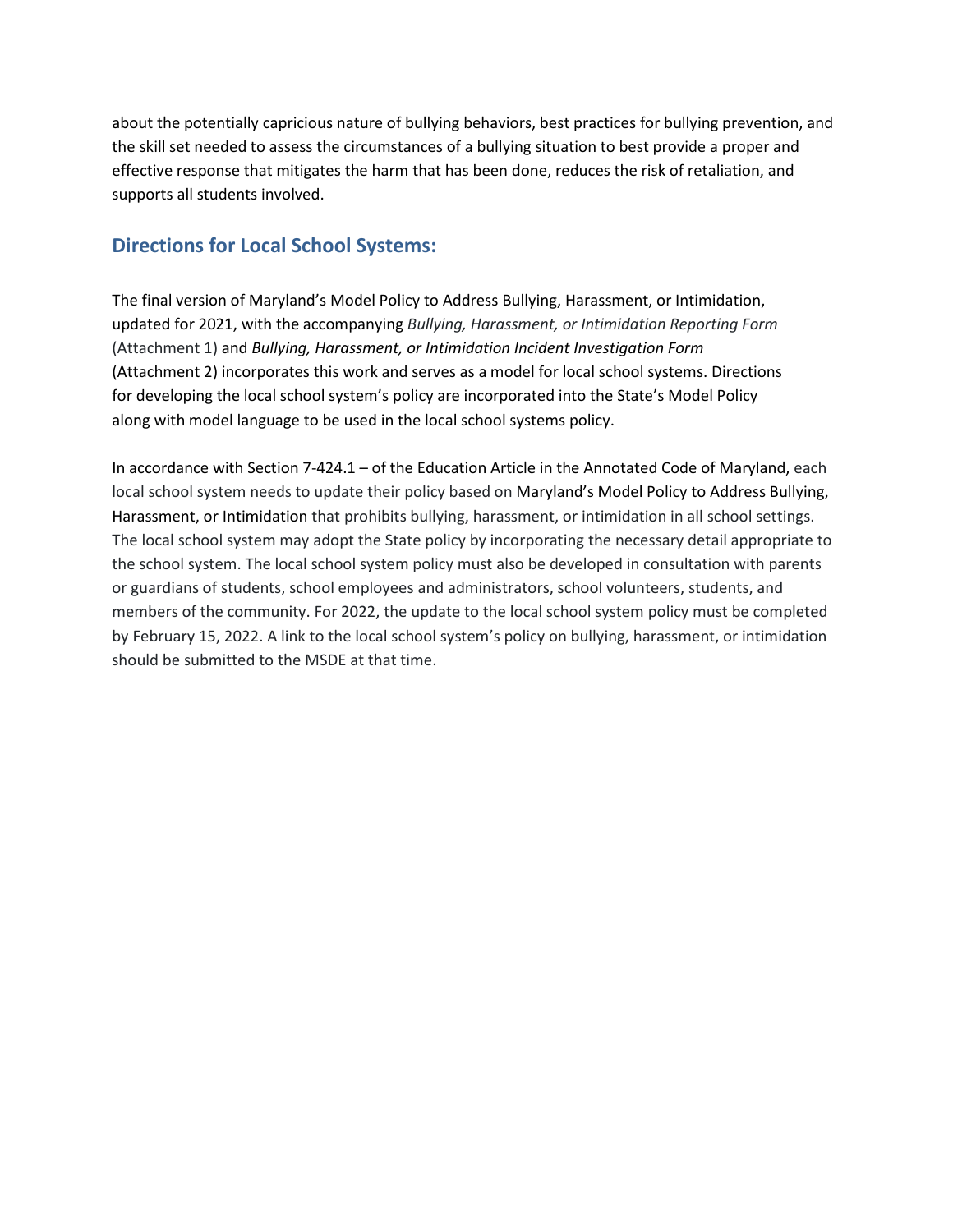about the potentially capricious nature of bullying behaviors, best practices for bullying prevention, and the skill set needed to assess the circumstances of a bullying situation to best provide a proper and effective response that mitigates the harm that has been done, reduces the risk of retaliation, and supports all students involved.

## **Directions for Local School Systems:**

The final version of Maryland's Model Policy to Address Bullying, Harassment, or Intimidation, updated for 2021, with the accompanying *Bullying, Harassment, or Intimidation Reporting Form* (Attachment 1) and *Bullying, Harassment, or Intimidation Incident Investigation Form*  (Attachment 2) incorporates this work and serves as a model for local school systems. Directions for developing the local school system's policy are incorporated into the State's Model Policy along with model language to be used in the local school systems policy.

In accordance with Section 7-424.1 – of the Education Article in the Annotated Code of Maryland, each local school system needs to update their policy based on Maryland's Model Policy to Address Bullying, Harassment, or Intimidation that prohibits bullying, harassment, or intimidation in all school settings. The local school system may adopt the State policy by incorporating the necessary detail appropriate to the school system. The local school system policy must also be developed in consultation with parents or guardians of students, school employees and administrators, school volunteers, students, and members of the community. For 2022, the update to the local school system policy must be completed by February 15, 2022. A link to the local school system's policy on bullying, harassment, or intimidation should be submitted to the MSDE at that time.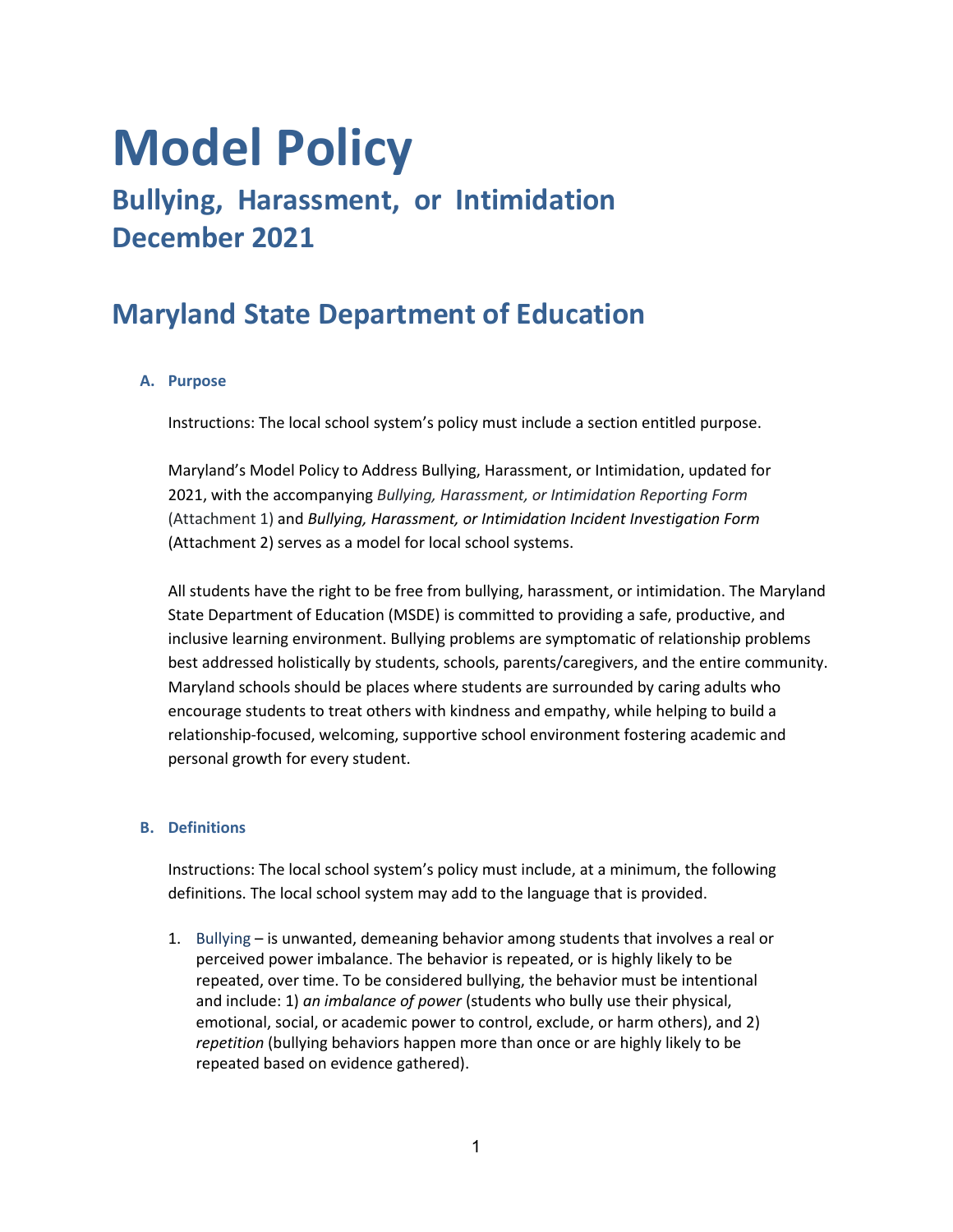# **Model Policy**

# **Bullying, Harassment, or Intimidation December 2021**

# **Maryland State Department of Education**

## **A. Purpose**

Instructions: The local school system's policy must include a section entitled purpose.

Maryland's Model Policy to Address Bullying, Harassment, or Intimidation, updated for 2021, with the accompanying *Bullying, Harassment, or Intimidation Reporting Form* (Attachment 1) and *Bullying, Harassment, or Intimidation Incident Investigation Form*  (Attachment 2) serves as a model for local school systems.

All students have the right to be free from bullying, harassment, or intimidation. The Maryland State Department of Education (MSDE) is committed to providing a safe, productive, and inclusive learning environment. Bullying problems are symptomatic of relationship problems best addressed holistically by students, schools, parents/caregivers, and the entire community. Maryland schools should be places where students are surrounded by caring adults who encourage students to treat others with kindness and empathy, while helping to build a relationship-focused, welcoming, supportive school environment fostering academic and personal growth for every student.

#### **B. Definitions**

Instructions: The local school system's policy must include, at a minimum, the following definitions. The local school system may add to the language that is provided.

1. Bullying – is unwanted, demeaning behavior among students that involves a real or perceived power imbalance. The behavior is repeated, or is highly likely to be repeated, over time. To be considered bullying, the behavior must be intentional and include: 1) *an imbalance of power* (students who bully use their physical, emotional, social, or academic power to control, exclude, or harm others), and 2) *repetition* (bullying behaviors happen more than once or are highly likely to be repeated based on evidence gathered).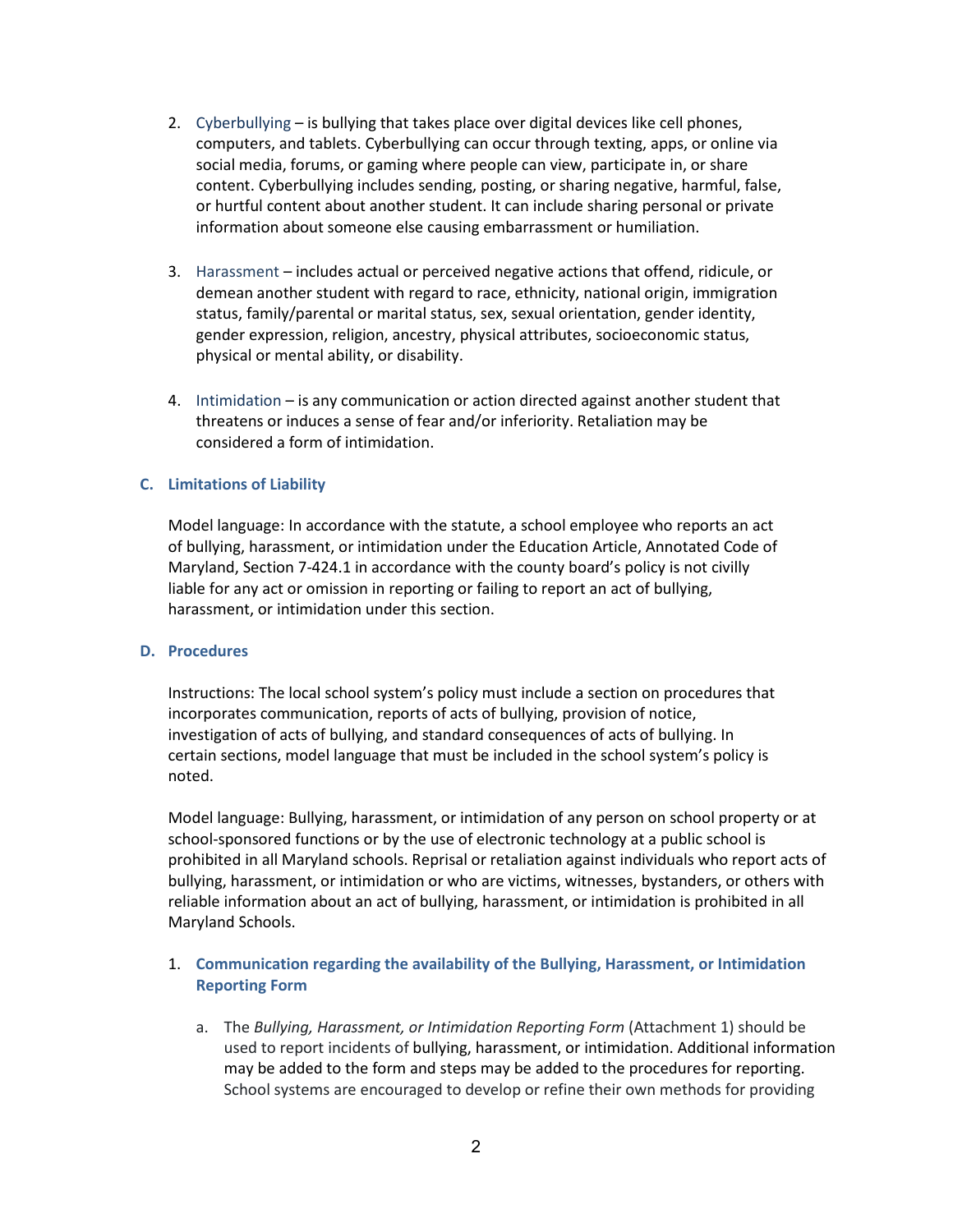- 2. Cyberbullying is bullying that takes place over digital devices like cell phones, computers, and tablets. Cyberbullying can occur through texting, apps, or online via social media, forums, or gaming where people can view, participate in, or share content. Cyberbullying includes sending, posting, or sharing negative, harmful, false, or hurtful content about another student. It can include sharing personal or private information about someone else causing embarrassment or humiliation.
- 3. Harassment includes actual or perceived negative actions that offend, ridicule, or demean another student with regard to race, ethnicity, national origin, immigration status, family/parental or marital status, sex, sexual orientation, gender identity, gender expression, religion, ancestry, physical attributes, socioeconomic status, physical or mental ability, or disability.
- 4. Intimidation is any communication or action directed against another student that threatens or induces a sense of fear and/or inferiority. Retaliation may be considered a form of intimidation.

#### **C. Limitations of Liability**

Model language: In accordance with the statute, a school employee who reports an act of bullying, harassment, or intimidation under the Education Article, Annotated Code of Maryland, Section 7-424.1 in accordance with the county board's policy is not civilly liable for any act or omission in reporting or failing to report an act of bullying, harassment, or intimidation under this section.

#### **D. Procedures**

Instructions: The local school system's policy must include a section on procedures that incorporates communication, reports of acts of bullying, provision of notice, investigation of acts of bullying, and standard consequences of acts of bullying. In certain sections, model language that must be included in the school system's policy is noted.

Model language: Bullying, harassment, or intimidation of any person on school property or at school-sponsored functions or by the use of electronic technology at a public school is prohibited in all Maryland schools. Reprisal or retaliation against individuals who report acts of bullying, harassment, or intimidation or who are victims, witnesses, bystanders, or others with reliable information about an act of bullying, harassment, or intimidation is prohibited in all Maryland Schools.

## 1. **Communication regarding the availability of the Bullying, Harassment, or Intimidation Reporting Form**

a. The *Bullying, Harassment, or Intimidation Reporting Form* (Attachment 1) should be used to report incidents of bullying, harassment, or intimidation. Additional information may be added to the form and steps may be added to the procedures for reporting. School systems are encouraged to develop or refine their own methods for providing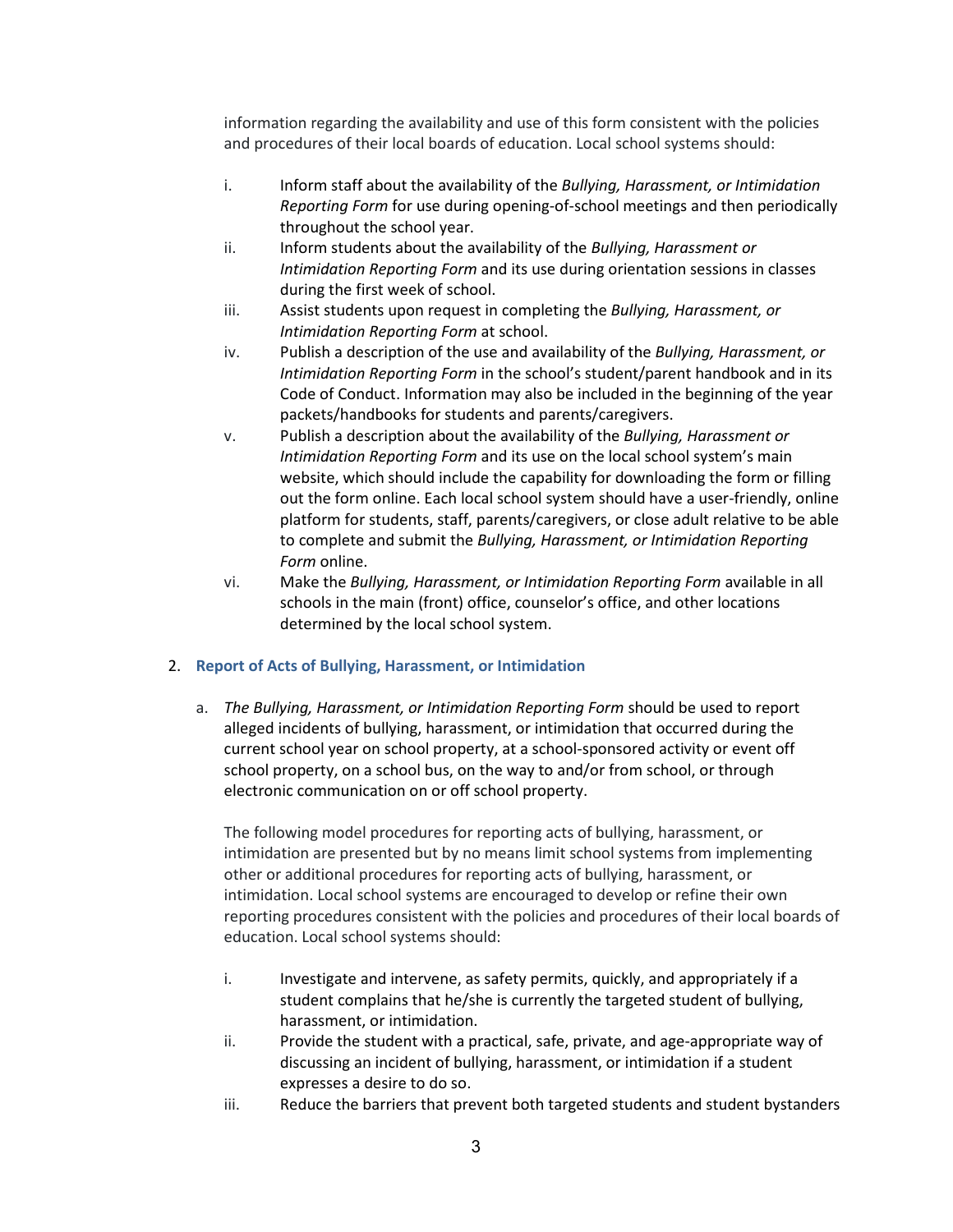information regarding the availability and use of this form consistent with the policies and procedures of their local boards of education. Local school systems should:

- i. Inform staff about the availability of the *Bullying, Harassment, or Intimidation Reporting Form* for use during opening-of-school meetings and then periodically throughout the school year.
- ii. Inform students about the availability of the *Bullying, Harassment or Intimidation Reporting Form* and its use during orientation sessions in classes during the first week of school.
- iii. Assist students upon request in completing the *Bullying, Harassment, or Intimidation Reporting Form* at school.
- iv. Publish a description of the use and availability of the *Bullying, Harassment, or Intimidation Reporting Form* in the school's student/parent handbook and in its Code of Conduct. Information may also be included in the beginning of the year packets/handbooks for students and parents/caregivers.
- v. Publish a description about the availability of the *Bullying, Harassment or Intimidation Reporting Form* and its use on the local school system's main website, which should include the capability for downloading the form or filling out the form online. Each local school system should have a user-friendly, online platform for students, staff, parents/caregivers, or close adult relative to be able to complete and submit the *Bullying, Harassment, or Intimidation Reporting Form* online.
- vi. Make the *Bullying, Harassment, or Intimidation Reporting Form* available in all schools in the main (front) office, counselor's office, and other locations determined by the local school system.

#### 2. **Report of Acts of Bullying, Harassment, or Intimidation**

a. *The Bullying, Harassment, or Intimidation Reporting Form* should be used to report alleged incidents of bullying, harassment, or intimidation that occurred during the current school year on school property, at a school-sponsored activity or event off school property, on a school bus, on the way to and/or from school, or through electronic communication on or off school property.

The following model procedures for reporting acts of bullying, harassment, or intimidation are presented but by no means limit school systems from implementing other or additional procedures for reporting acts of bullying, harassment, or intimidation. Local school systems are encouraged to develop or refine their own reporting procedures consistent with the policies and procedures of their local boards of education. Local school systems should:

- i. Investigate and intervene, as safety permits, quickly, and appropriately if a student complains that he/she is currently the targeted student of bullying, harassment, or intimidation.
- ii. Provide the student with a practical, safe, private, and age-appropriate way of discussing an incident of bullying, harassment, or intimidation if a student expresses a desire to do so.
- iii. Reduce the barriers that prevent both targeted students and student bystanders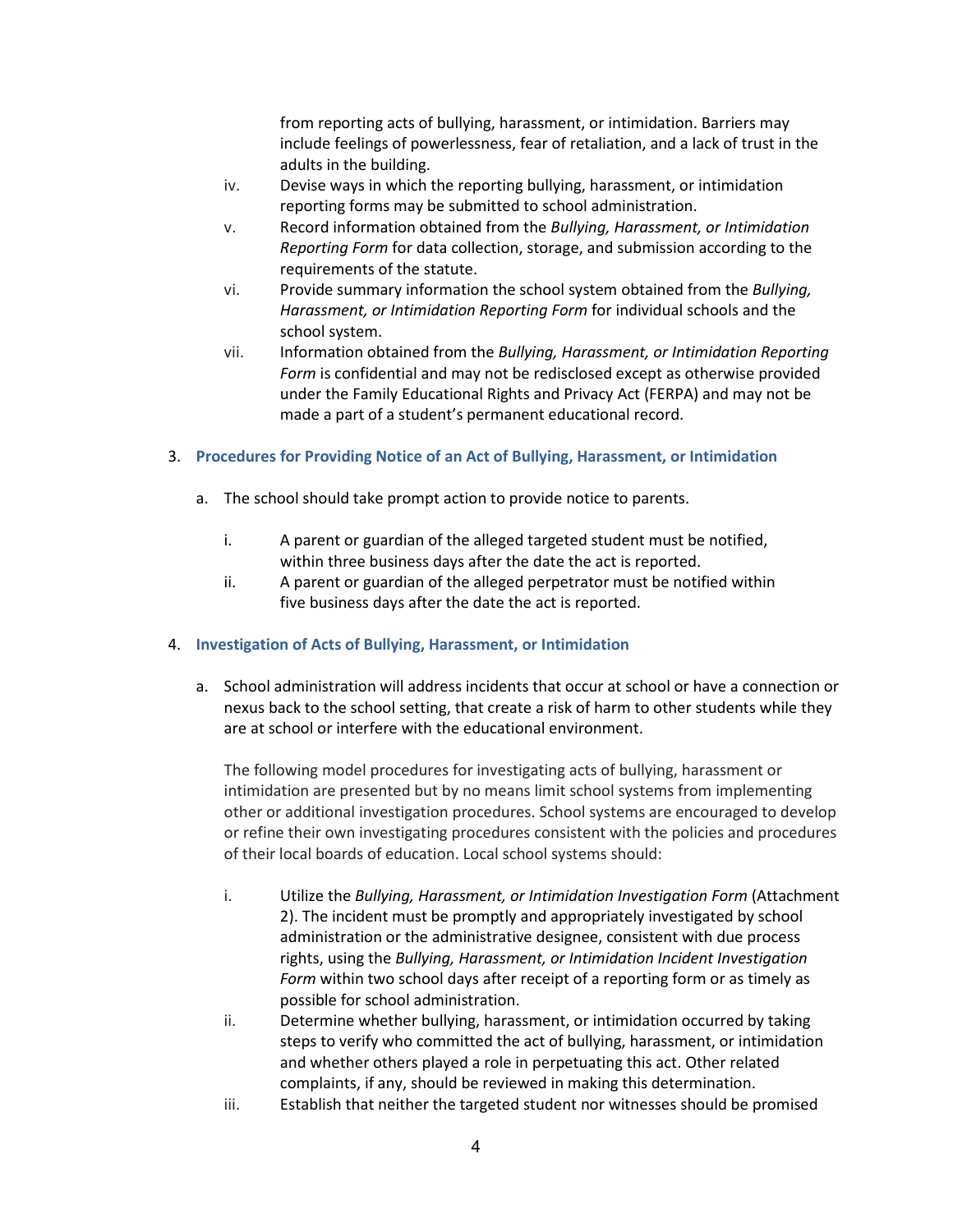from reporting acts of bullying, harassment, or intimidation. Barriers may include feelings of powerlessness, fear of retaliation, and a lack of trust in the adults in the building.

- iv. Devise ways in which the reporting bullying, harassment, or intimidation reporting forms may be submitted to school administration.
- v. Record information obtained from the *Bullying, Harassment, or Intimidation Reporting Form* for data collection, storage, and submission according to the requirements of the statute.
- vi. Provide summary information the school system obtained from the *Bullying, Harassment, or Intimidation Reporting Form* for individual schools and the school system.
- vii. Information obtained from the *Bullying, Harassment, or Intimidation Reporting Form* is confidential and may not be redisclosed except as otherwise provided under the Family Educational Rights and Privacy Act (FERPA) and may not be made a part of a student's permanent educational record.

## 3. **Procedures for Providing Notice of an Act of Bullying, Harassment, or Intimidation**

- a. The school should take prompt action to provide notice to parents.
	- i. A parent or guardian of the alleged targeted student must be notified, within three business days after the date the act is reported.
	- ii. A parent or guardian of the alleged perpetrator must be notified within five business days after the date the act is reported.

#### 4. **Investigation of Acts of Bullying, Harassment, or Intimidation**

a. School administration will address incidents that occur at school or have a connection or nexus back to the school setting, that create a risk of harm to other students while they are at school or interfere with the educational environment.

The following model procedures for investigating acts of bullying, harassment or intimidation are presented but by no means limit school systems from implementing other or additional investigation procedures. School systems are encouraged to develop or refine their own investigating procedures consistent with the policies and procedures of their local boards of education. Local school systems should:

- i. Utilize the *Bullying, Harassment, or Intimidation Investigation Form* (Attachment 2). The incident must be promptly and appropriately investigated by school administration or the administrative designee, consistent with due process rights, using the *Bullying, Harassment, or Intimidation Incident Investigation Form* within two school days after receipt of a reporting form or as timely as possible for school administration.
- ii. Determine whether bullying, harassment, or intimidation occurred by taking steps to verify who committed the act of bullying, harassment, or intimidation and whether others played a role in perpetuating this act. Other related complaints, if any, should be reviewed in making this determination.
- iii. Establish that neither the targeted student nor witnesses should be promised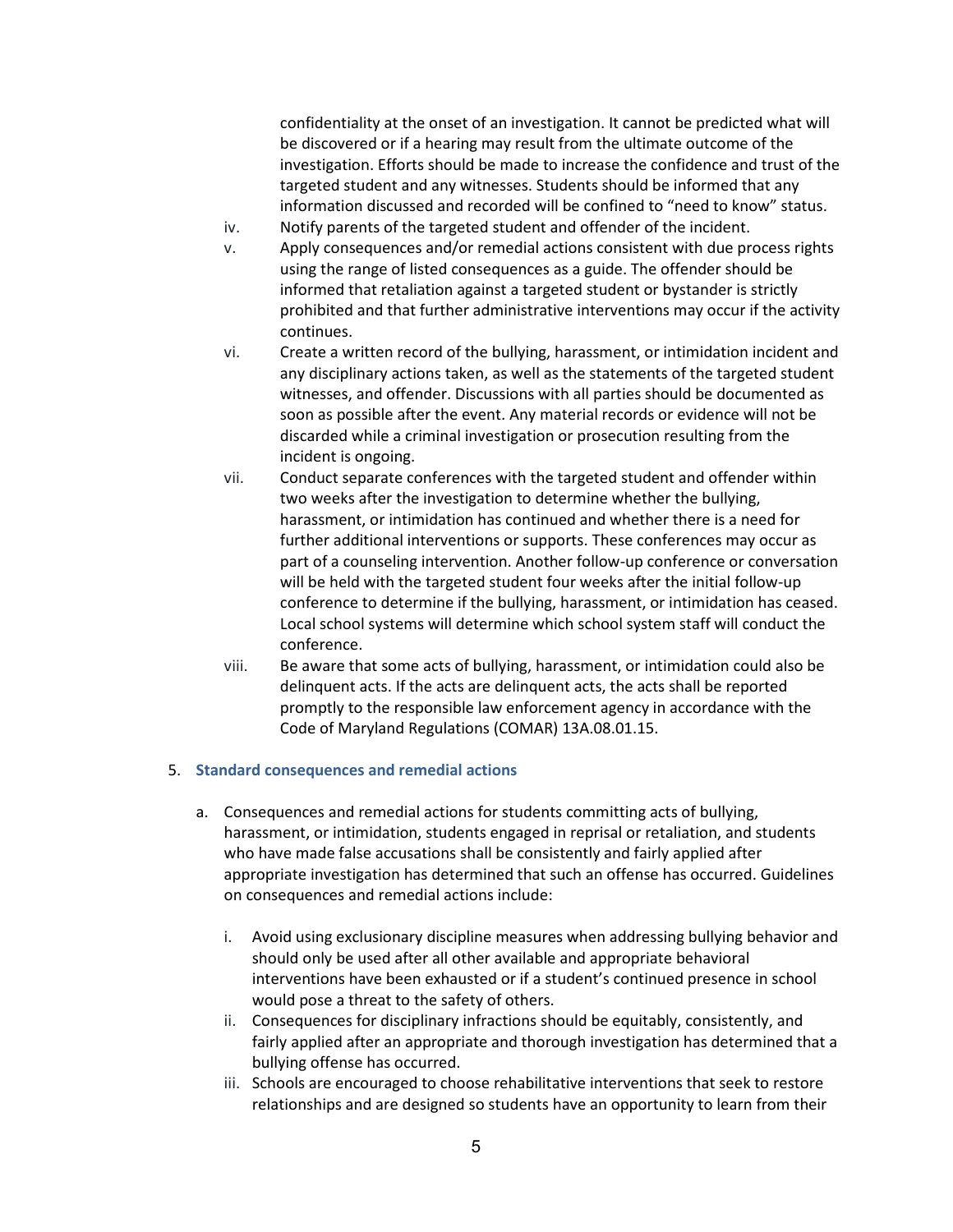confidentiality at the onset of an investigation. It cannot be predicted what will be discovered or if a hearing may result from the ultimate outcome of the investigation. Efforts should be made to increase the confidence and trust of the targeted student and any witnesses. Students should be informed that any information discussed and recorded will be confined to "need to know" status.

- iv. Notify parents of the targeted student and offender of the incident.
- v. Apply consequences and/or remedial actions consistent with due process rights using the range of listed consequences as a guide. The offender should be informed that retaliation against a targeted student or bystander is strictly prohibited and that further administrative interventions may occur if the activity continues.
- vi. Create a written record of the bullying, harassment, or intimidation incident and any disciplinary actions taken, as well as the statements of the targeted student witnesses, and offender. Discussions with all parties should be documented as soon as possible after the event. Any material records or evidence will not be discarded while a criminal investigation or prosecution resulting from the incident is ongoing.
- vii. Conduct separate conferences with the targeted student and offender within two weeks after the investigation to determine whether the bullying, harassment, or intimidation has continued and whether there is a need for further additional interventions or supports. These conferences may occur as part of a counseling intervention. Another follow-up conference or conversation will be held with the targeted student four weeks after the initial follow-up conference to determine if the bullying, harassment, or intimidation has ceased. Local school systems will determine which school system staff will conduct the conference.
- viii. Be aware that some acts of bullying, harassment, or intimidation could also be delinquent acts. If the acts are delinquent acts, the acts shall be reported promptly to the responsible law enforcement agency in accordance with the Code of Maryland Regulations (COMAR) 13A.08.01.15.

#### 5. **Standard consequences and remedial actions**

- a. Consequences and remedial actions for students committing acts of bullying, harassment, or intimidation, students engaged in reprisal or retaliation, and students who have made false accusations shall be consistently and fairly applied after appropriate investigation has determined that such an offense has occurred. Guidelines on consequences and remedial actions include:
	- i. Avoid using exclusionary discipline measures when addressing bullying behavior and should only be used after all other available and appropriate behavioral interventions have been exhausted or if a student's continued presence in school would pose a threat to the safety of others.
	- ii. Consequences for disciplinary infractions should be equitably, consistently, and fairly applied after an appropriate and thorough investigation has determined that a bullying offense has occurred.
	- iii. Schools are encouraged to choose rehabilitative interventions that seek to restore relationships and are designed so students have an opportunity to learn from their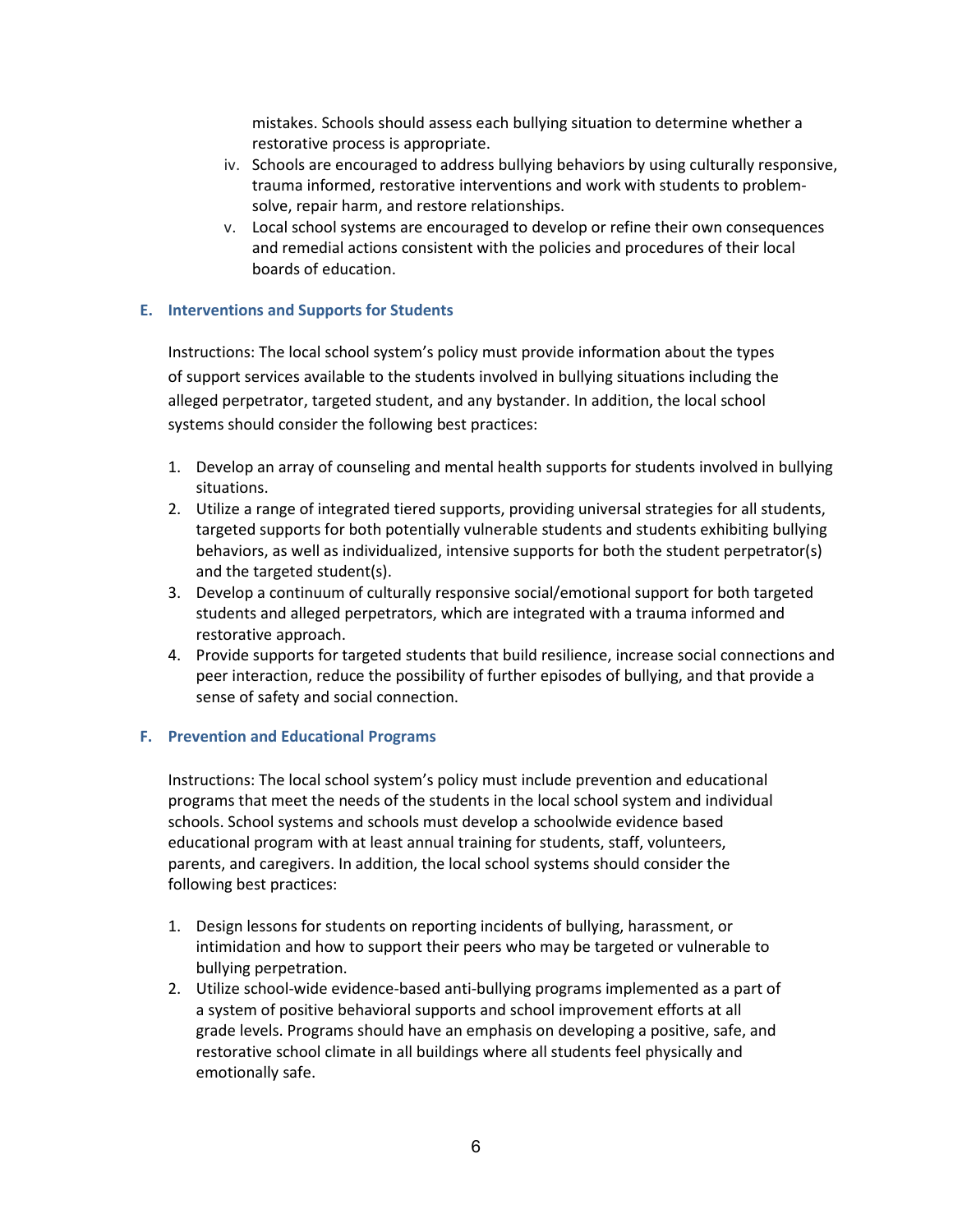mistakes. Schools should assess each bullying situation to determine whether a restorative process is appropriate.

- iv. Schools are encouraged to address bullying behaviors by using culturally responsive, trauma informed, restorative interventions and work with students to problemsolve, repair harm, and restore relationships.
- v. Local school systems are encouraged to develop or refine their own consequences and remedial actions consistent with the policies and procedures of their local boards of education.

#### **E. Interventions and Supports for Students**

Instructions: The local school system's policy must provide information about the types of support services available to the students involved in bullying situations including the alleged perpetrator, targeted student, and any bystander. In addition, the local school systems should consider the following best practices:

- 1. Develop an array of counseling and mental health supports for students involved in bullying situations.
- 2. Utilize a range of integrated tiered supports, providing universal strategies for all students, targeted supports for both potentially vulnerable students and students exhibiting bullying behaviors, as well as individualized, intensive supports for both the student perpetrator(s) and the targeted student(s).
- 3. Develop a continuum of culturally responsive social/emotional support for both targeted students and alleged perpetrators, which are integrated with a trauma informed and restorative approach.
- 4. Provide supports for targeted students that build resilience, increase social connections and peer interaction, reduce the possibility of further episodes of bullying, and that provide a sense of safety and social connection.

#### **F. Prevention and Educational Programs**

Instructions: The local school system's policy must include prevention and educational programs that meet the needs of the students in the local school system and individual schools. School systems and schools must develop a schoolwide evidence based educational program with at least annual training for students, staff, volunteers, parents, and caregivers. In addition, the local school systems should consider the following best practices:

- 1. Design lessons for students on reporting incidents of bullying, harassment, or intimidation and how to support their peers who may be targeted or vulnerable to bullying perpetration.
- 2. Utilize school-wide evidence-based anti-bullying programs implemented as a part of a system of positive behavioral supports and school improvement efforts at all grade levels. Programs should have an emphasis on developing a positive, safe, and restorative school climate in all buildings where all students feel physically and emotionally safe.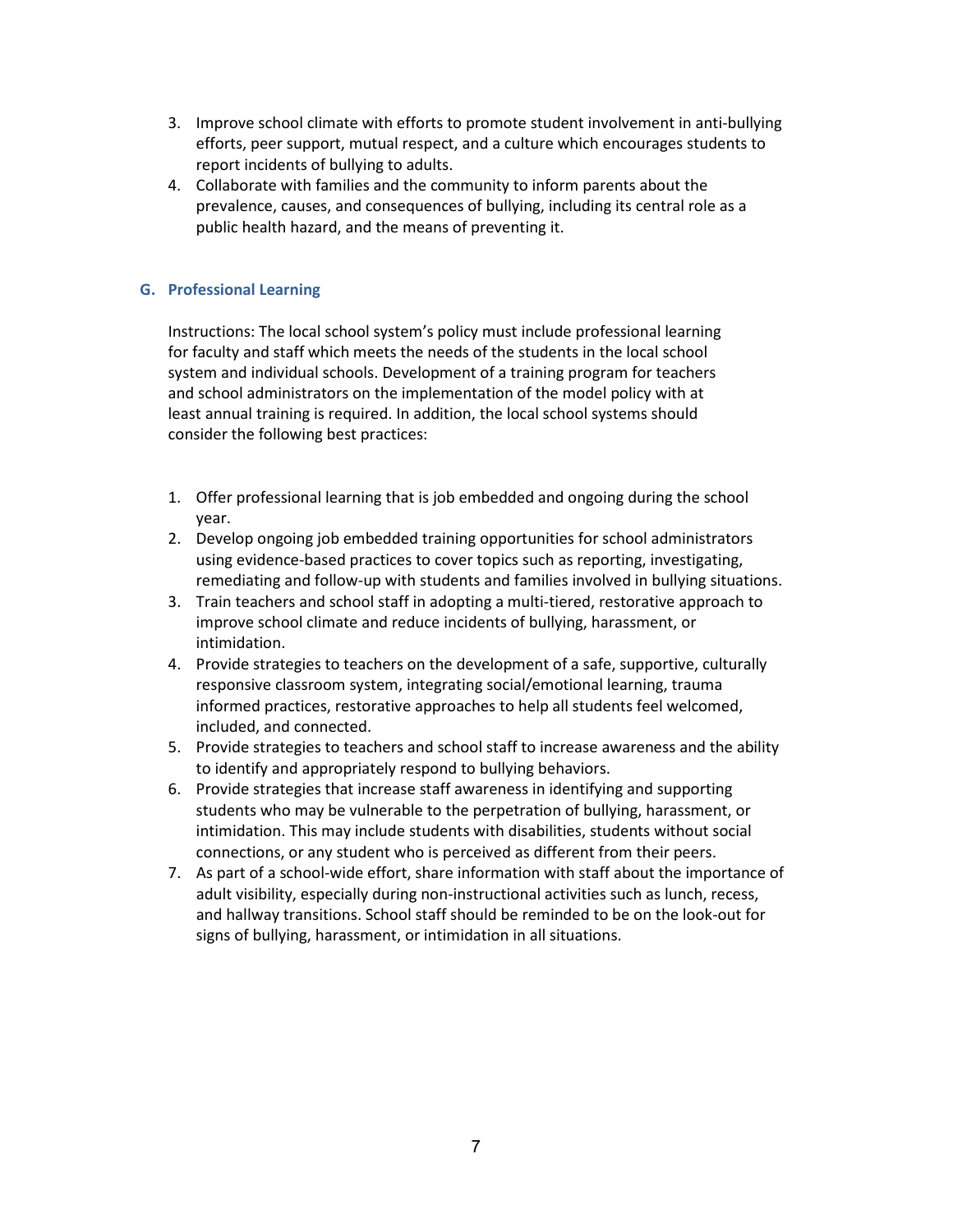- 3. Improve school climate with efforts to promote student involvement in anti-bullying efforts, peer support, mutual respect, and a culture which encourages students to report incidents of bullying to adults.
- 4. Collaborate with families and the community to inform parents about the prevalence, causes, and consequences of bullying, including its central role as a public health hazard, and the means of preventing it.

## **G. Professional Learning**

Instructions: The local school system's policy must include professional learning for faculty and staff which meets the needs of the students in the local school system and individual schools. Development of a training program for teachers and school administrators on the implementation of the model policy with at least annual training is required. In addition, the local school systems should consider the following best practices:

- 1. Offer professional learning that is job embedded and ongoing during the school year.
- 2. Develop ongoing job embedded training opportunities for school administrators using evidence-based practices to cover topics such as reporting, investigating, remediating and follow-up with students and families involved in bullying situations.
- 3. Train teachers and school staff in adopting a multi-tiered, restorative approach to improve school climate and reduce incidents of bullying, harassment, or intimidation.
- 4. Provide strategies to teachers on the development of a safe, supportive, culturally responsive classroom system, integrating social/emotional learning, trauma informed practices, restorative approaches to help all students feel welcomed, included, and connected.
- 5. Provide strategies to teachers and school staff to increase awareness and the ability to identify and appropriately respond to bullying behaviors.
- 6. Provide strategies that increase staff awareness in identifying and supporting students who may be vulnerable to the perpetration of bullying, harassment, or intimidation. This may include students with disabilities, students without social connections, or any student who is perceived as different from their peers.
- 7. As part of a school-wide effort, share information with staff about the importance of adult visibility, especially during non-instructional activities such as lunch, recess, and hallway transitions. School staff should be reminded to be on the look-out for signs of bullying, harassment, or intimidation in all situations.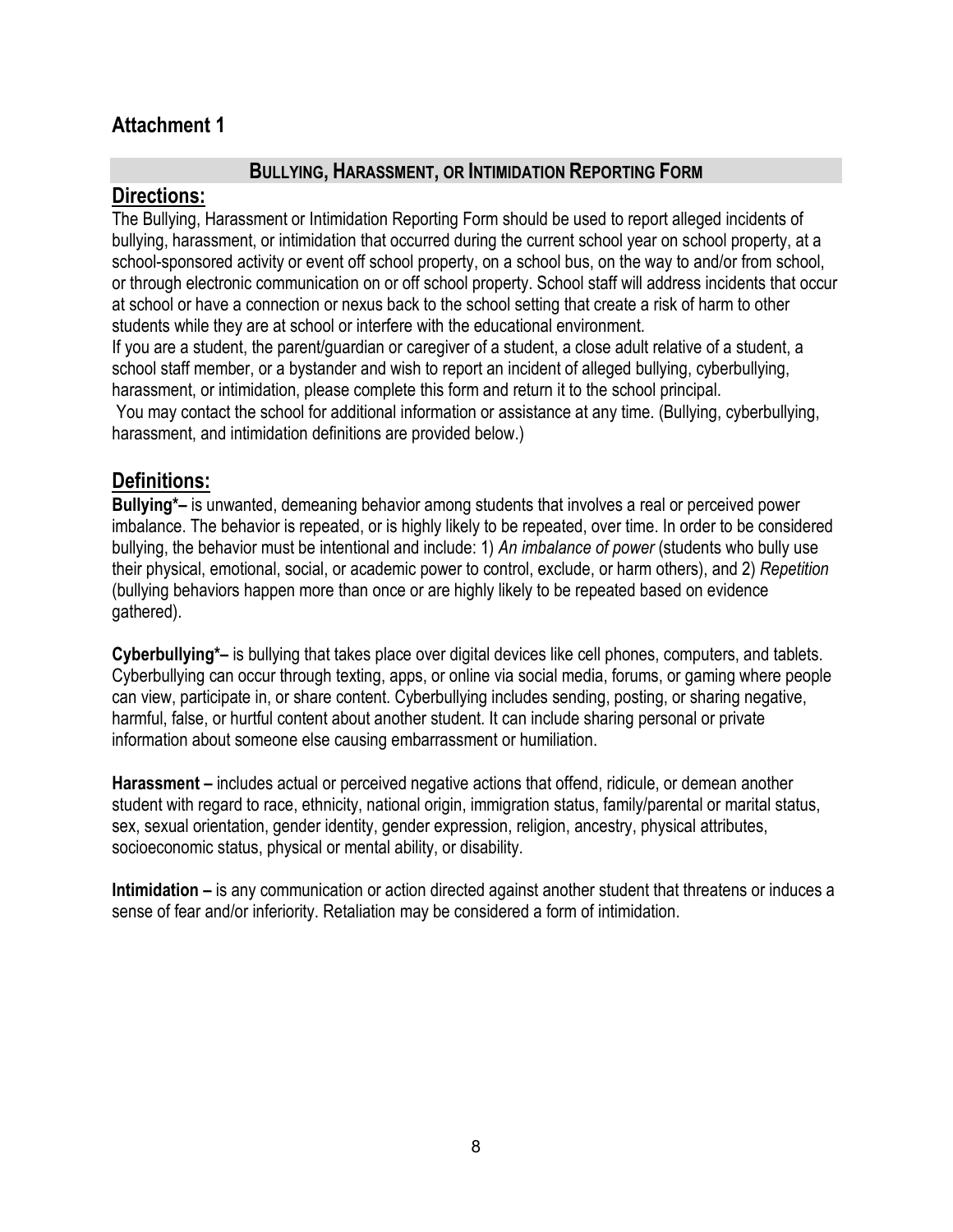## **Attachment 1**

## **BULLYING, HARASSMENT, OR INTIMIDATION REPORTING FORM**

## **Directions:**

The Bullying, Harassment or Intimidation Reporting Form should be used to report alleged incidents of bullying, harassment, or intimidation that occurred during the current school year on school property, at a school-sponsored activity or event off school property, on a school bus, on the way to and/or from school, or through electronic communication on or off school property. School staff will address incidents that occur at school or have a connection or nexus back to the school setting that create a risk of harm to other students while they are at school or interfere with the educational environment.

If you are a student, the parent/guardian or caregiver of a student, a close adult relative of a student, a school staff member, or a bystander and wish to report an incident of alleged bullying, cyberbullying, harassment, or intimidation, please complete this form and return it to the school principal.

You may contact the school for additional information or assistance at any time. (Bullying, cyberbullying, harassment, and intimidation definitions are provided below.)

## **Definitions:**

**Bullying\*–** is unwanted, demeaning behavior among students that involves a real or perceived power imbalance. The behavior is repeated, or is highly likely to be repeated, over time. In order to be considered bullying, the behavior must be intentional and include: 1) *An imbalance of power* (students who bully use their physical, emotional, social, or academic power to control, exclude, or harm others), and 2) *Repetition* (bullying behaviors happen more than once or are highly likely to be repeated based on evidence gathered).

**Cyberbullying\*–** is bullying that takes place over digital devices like cell phones, computers, and tablets. Cyberbullying can occur through texting, apps, or online via social media, forums, or gaming where people can view, participate in, or share content. Cyberbullying includes sending, posting, or sharing negative, harmful, false, or hurtful content about another student. It can include sharing personal or private information about someone else causing embarrassment or humiliation.

**Harassment –** includes actual or perceived negative actions that offend, ridicule, or demean another student with regard to race, ethnicity, national origin, immigration status, family/parental or marital status, sex, sexual orientation, gender identity, gender expression, religion, ancestry, physical attributes, socioeconomic status, physical or mental ability, or disability.

**Intimidation –** is any communication or action directed against another student that threatens or induces a sense of fear and/or inferiority. Retaliation may be considered a form of intimidation.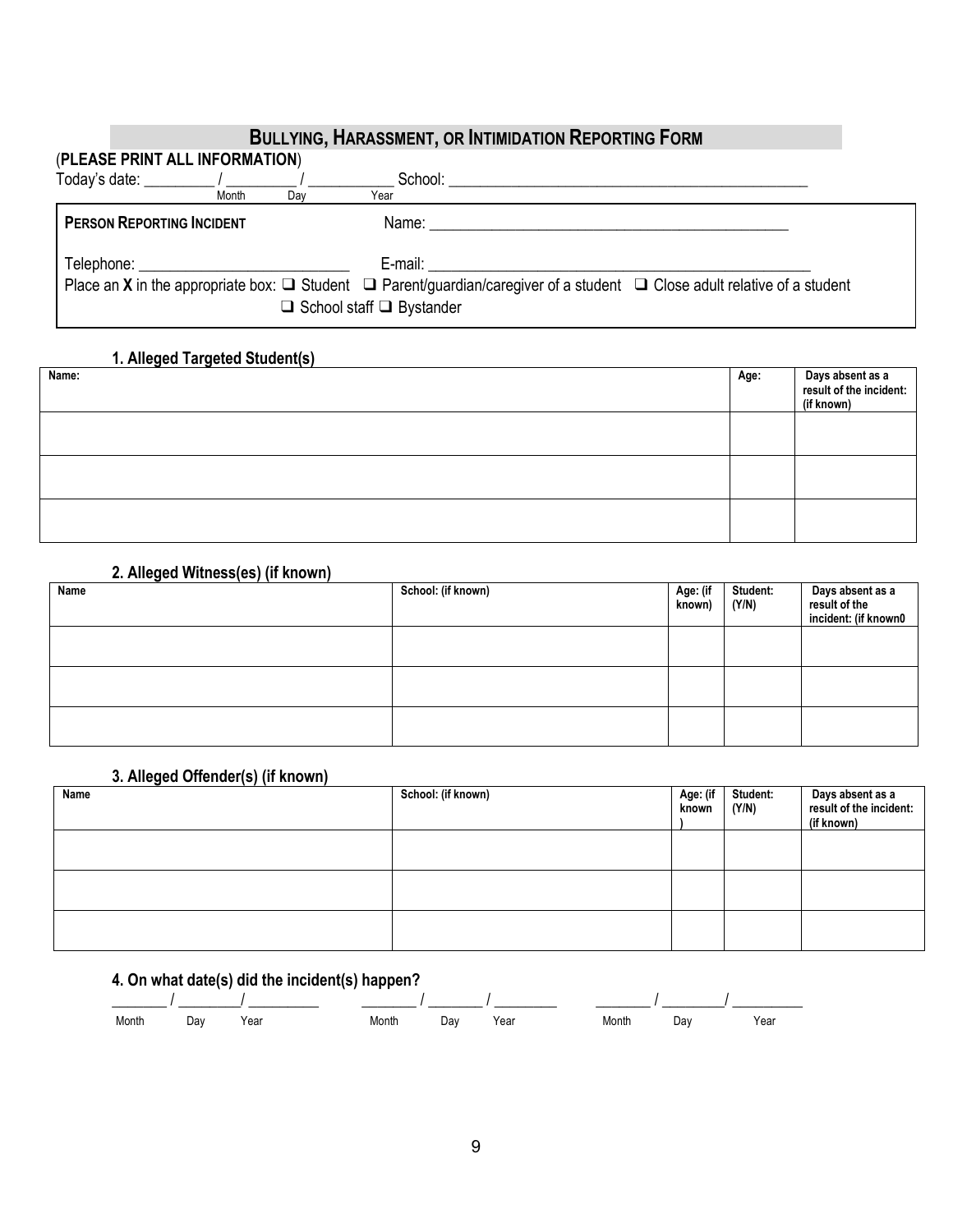## **BULLYING, HARASSMENT, OR INTIMIDATION REPORTING FORM** (**PLEASE PRINT ALL INFORMATION**)  $\text{Total } \hat{\mathbf{C}}$   $\text{Total } \hat{\mathbf{C}}$   $\text{Total } \hat{\mathbf{C}}$   $\text{Total } \hat{\mathbf{C}}$   $\text{Total } \hat{\mathbf{C}}$   $\text{Total } \hat{\mathbf{C}}$   $\text{Total } \hat{\mathbf{C}}$   $\text{Total } \hat{\mathbf{C}}$   $\text{Total } \hat{\mathbf{C}}$   $\text{Total } \hat{\mathbf{C}}$   $\text{Total } \hat{\mathbf{C}}$   $\text{Total } \hat{\mathbf{C}}$   $\text{Total } \hat{\mathbf{C}}$   $\text{Total } \hat{\mathbf{C$ PERSON REPORTING INCIDENT Name: Name: Name: Name: Name: Name: Name: Name: Name: Name: Name: Name: Name: Name: Name: Name: Name: Name: Name: Name: Name: Name: Name: Name: Name: Name: Name: Name: Name: Name: Name: Name: Name Telephone: \_\_\_\_\_\_\_\_\_\_\_\_\_\_\_\_\_\_\_\_\_\_\_\_\_\_\_ E-mail: \_\_\_\_\_\_\_\_\_\_\_\_\_\_\_\_\_\_\_\_\_\_\_\_\_\_\_\_\_\_\_\_\_\_\_\_\_\_\_\_\_\_\_\_\_\_\_\_\_ Place an **X** in the appropriate box: ❑ Student ❑ Parent/guardian/caregiver of a student ❑ Close adult relative of a student ❑ School staff ❑ Bystander

## **1. Alleged Targeted Student(s)**

| Name: | Age: | Days absent as a<br>result of the incident:<br>(if known) |
|-------|------|-----------------------------------------------------------|
|       |      |                                                           |
|       |      |                                                           |
|       |      |                                                           |

## **2. Alleged Witness(es) (if known)**

| Name | School: (if known) | Age: (if<br>known) | <b>Student:</b><br>(Y/N) | Days absent as a<br>result of the<br>incident: (if known0 |
|------|--------------------|--------------------|--------------------------|-----------------------------------------------------------|
|      |                    |                    |                          |                                                           |
|      |                    |                    |                          |                                                           |
|      |                    |                    |                          |                                                           |

#### **3. Alleged Offender(s) (if known)**

| Name | $\sim$ | . | School: (if known) | Age: (if<br>known | Student:<br>(Y/N) | Days absent as a<br>result of the incident:<br>(if known) |
|------|--------|---|--------------------|-------------------|-------------------|-----------------------------------------------------------|
|      |        |   |                    |                   |                   |                                                           |
|      |        |   |                    |                   |                   |                                                           |
|      |        |   |                    |                   |                   |                                                           |

## **4. On what date(s) did the incident(s) happen?**

| Month | Day | Year | Month | Day | Year | Month | Da∨ | Year |
|-------|-----|------|-------|-----|------|-------|-----|------|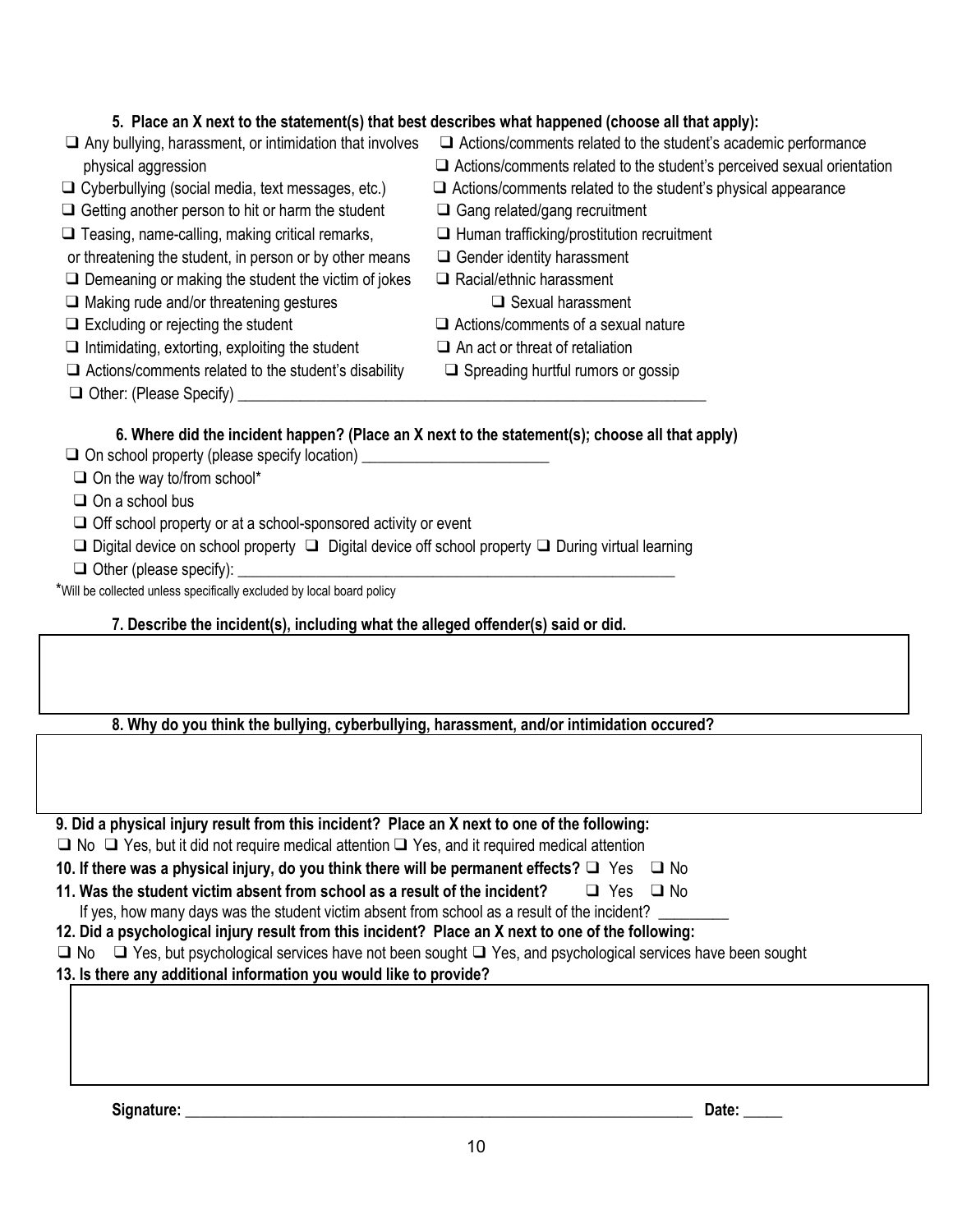## **5. Place an X next to the statement(s) that best describes what happened (choose all that apply):**

- 
- 
- $\Box$  Getting another person to hit or harm the student  $\Box$  Gang related/gang recruitment
- ❑ Teasing, name-calling, making critical remarks, ❑ Human trafficking/prostitution recruitment
- or threatening the student, in person or by other means □ Gender identity harassment
- $\Box$  Demeaning or making the student the victim of jokes  $\Box$  Racial/ethnic harassment
- ❑ Making rude and/or threatening gestures ❑ Sexual harassment
- 
- $\Box$  Intimidating, extorting, exploiting the student  $\Box$  An act or threat of retaliation
- ❑ Actions/comments related to the student's disability ❑ Spreading hurtful rumors or gossip
- $\Box$  Other: (Please Specify)
- ❑ Any bullying, harassment, or intimidation that involves ❑ Actions/comments related to the student's academic performance
	- physical aggression ❑ Actions/comments related to the student's perceived sexual orientation
- ❑ Cyberbullying (social media, text messages, etc.) ❑ Actions/comments related to the student's physical appearance
	-
	-
	-
	-

- ❑ Excluding or rejecting the student ❑ Actions/comments of a sexual nature
	-
	-

## **6. Where did the incident happen? (Place an X next to the statement(s); choose all that apply)**

- ❑ On school property (please specify location) \_\_\_\_\_\_\_\_\_\_\_\_\_\_\_\_\_\_\_\_\_\_\_\_
- $\Box$  On the way to/from school\*
- ❑ On a school bus
- ❑ Off school property or at a school-sponsored activity or event
- ❑ Digital device on school property ❑ Digital device off school property ❑ During virtual learning
- $\Box$  Other (please specify):

\*Will be collected unless specifically excluded by local board policy

## **7. Describe the incident(s), including what the alleged offender(s) said or did.**

**8. Why do you think the bullying, cyberbullying, harassment, and/or intimidation occured?**

**9. Did a physical injury result from this incident? Place an X next to one of the following:** ❑ No ❑ Yes, but it did not require medical attention❑ Yes, and it required medical attention **10. If there was a physical injury, do you think there will be permanent effects?** ❑ Yes ❑ No **11. Was the student victim absent from school as a result of the incident?** ❑ Yes ❑ No If yes, how many days was the student victim absent from school as a result of the incident?

- **12. Did a psychological injury result from this incident? Place an X next to one of the following:**
- ❑ No ❑ Yes, but psychological services have not been sought ❑ Yes, and psychological services have been sought

**13. Is there any additional information you would like to provide?**

**Signature:** \_\_\_\_\_\_\_\_\_\_\_\_\_\_\_\_\_\_\_\_\_\_\_\_\_\_\_\_\_\_\_\_\_\_\_\_\_\_\_\_\_\_\_\_\_\_\_\_\_\_\_\_\_\_\_\_\_\_\_\_\_\_\_\_\_ **Date:** \_\_\_\_\_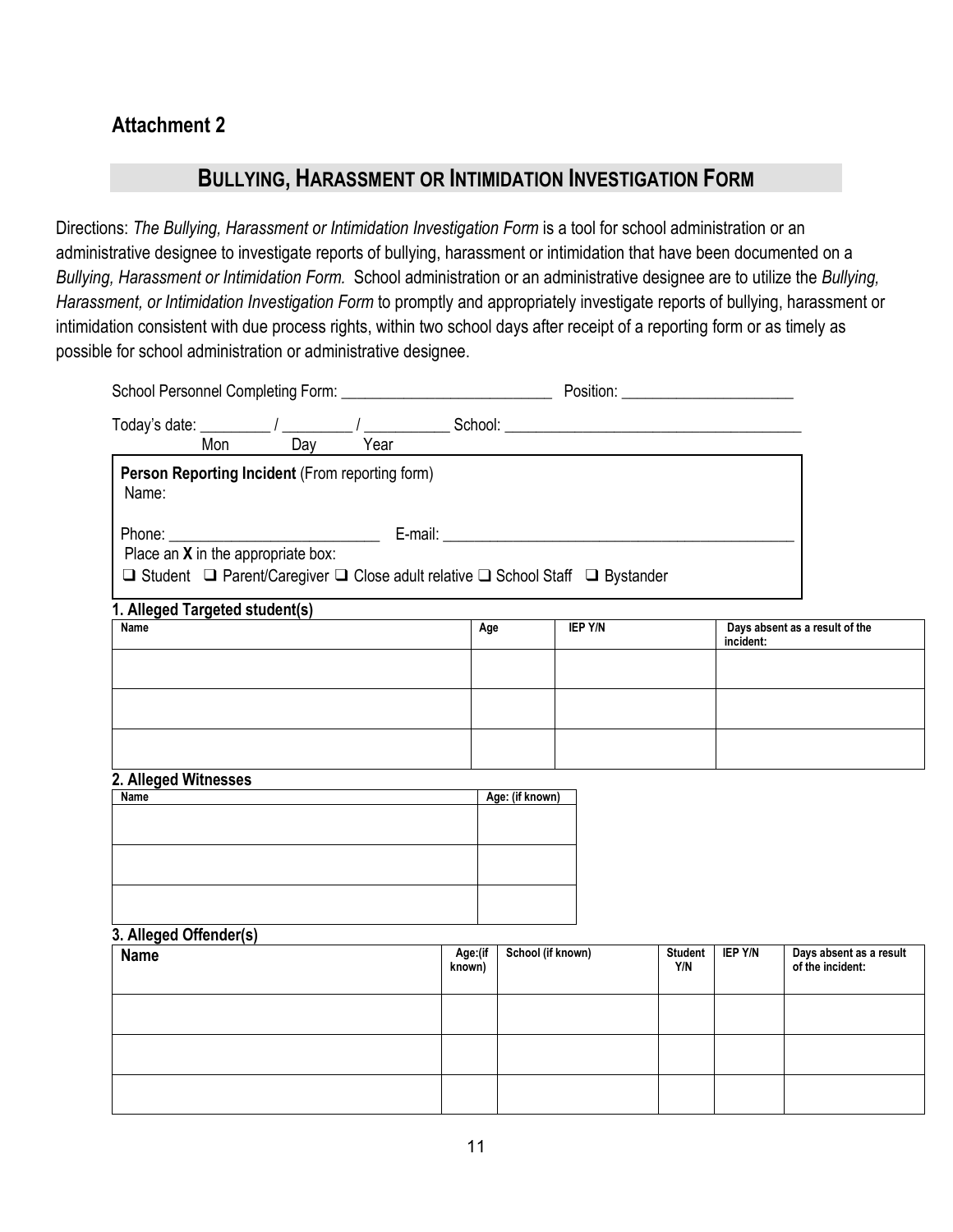## **Attachment 2**

## **BULLYING, HARASSMENT OR INTIMIDATION INVESTIGATION FORM**

Directions: The Bullying, Harassment or Intimidation Investigation Form is a tool for school administration or an administrative designee to investigate reports of bullying, harassment or intimidation that have been documented on a *Bullying, Harassment or Intimidation Form.* School administration or an administrative designee are to utilize the *Bullying, Harassment, or Intimidation Investigation Form* to promptly and appropriately investigate reports of bullying, harassment or intimidation consistent with due process rights, within two school days after receipt of a reporting form or as timely as possible for school administration or administrative designee.

|                                                                                                                        |     |                   |                   |                | Position: ___________________________ |                |                                             |
|------------------------------------------------------------------------------------------------------------------------|-----|-------------------|-------------------|----------------|---------------------------------------|----------------|---------------------------------------------|
| Today's date: $\frac{1}{\text{Mon}}$ / $\frac{1}{\text{Day}}$ / $\frac{1}{\text{Year}}$ School: $\frac{1}{\text{Den}}$ | Day |                   |                   |                |                                       |                |                                             |
| Person Reporting Incident (From reporting form)<br>Name:                                                               |     |                   |                   |                |                                       |                |                                             |
|                                                                                                                        |     |                   |                   |                |                                       |                |                                             |
| Place an X in the appropriate box:<br>□ Student □ Parent/Caregiver □ Close adult relative □ School Staff □ Bystander   |     |                   |                   |                |                                       |                |                                             |
| 1. Alleged Targeted student(s)                                                                                         |     |                   |                   |                |                                       |                |                                             |
| $\overline{\mathsf{Name}}$                                                                                             |     | Age               |                   | <b>IEP Y/N</b> |                                       | incident:      | Days absent as a result of the              |
|                                                                                                                        |     |                   |                   |                |                                       |                |                                             |
|                                                                                                                        |     |                   |                   |                |                                       |                |                                             |
| 2. Alleged Witnesses<br><b>Name</b>                                                                                    |     |                   | Age: (if known)   |                |                                       |                |                                             |
|                                                                                                                        |     |                   |                   |                |                                       |                |                                             |
|                                                                                                                        |     |                   |                   |                |                                       |                |                                             |
|                                                                                                                        |     |                   |                   |                |                                       |                |                                             |
| 3. Alleged Offender(s)                                                                                                 |     |                   |                   |                |                                       |                |                                             |
| <b>Name</b>                                                                                                            |     | Age:(if<br>known) | School (if known) |                | <b>Student</b><br>Y/N                 | <b>IEP Y/N</b> | Days absent as a result<br>of the incident: |
|                                                                                                                        |     |                   |                   |                |                                       |                |                                             |
|                                                                                                                        |     |                   |                   |                |                                       |                |                                             |
|                                                                                                                        |     |                   |                   |                |                                       |                |                                             |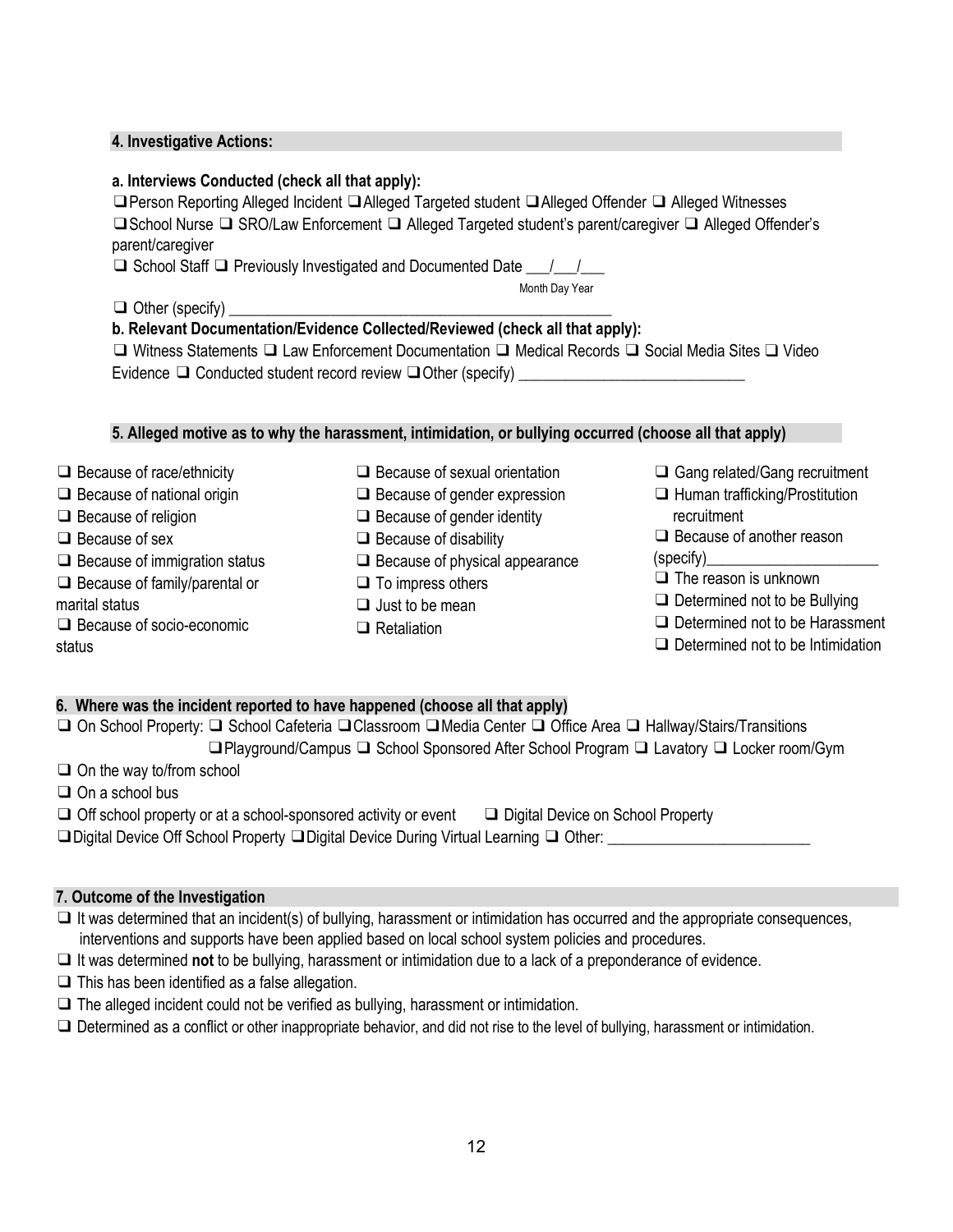### **4. Investigative Actions:**

## **a. Interviews Conducted (check all that apply):**

❑Person Reporting Alleged Incident ❑Alleged Targeted student ❑Alleged Offender ❑ Alleged Witnesses ❑School Nurse ❑ SRO/Law Enforcement ❑ Alleged Targeted student's parent/caregiver ❑ Alleged Offender's parent/caregiver

 $\Box$  School Staff  $\Box$  Previously Investigated and Documented Date  $\Box$ 

Month Day Year

 $\Box$  Other (specify)

## **b. Relevant Documentation/Evidence Collected/Reviewed (check all that apply):**

❑ Witness Statements ❑ Law Enforcement Documentation ❑ Medical Records ❑ Social Media Sites ❑ Video Evidence  $\Box$  Conducted student record review  $\Box$  Other (specify)

## **5. Alleged motive as to why the harassment, intimidation, or bullying occurred (choose all that apply)**

❑ Because of race/ethnicity ❑ Because of national origin ❑ Because of religion ❑ Because of sex ❑ Because of immigration status ❑ Because of family/parental or marital status ❑ Because of socio-economic status ❑ Because of sexual orientation ❑ Because of gender expression ❑ Because of gender identity ❑ Because of disability ❑ Because of physical appearance ❑ To impress others ❑ Just to be mean ❑ Retaliation ❑ Gang related/Gang recruitment ❑ Human trafficking/Prostitution recruitment ❑ Because of another reason (specify)\_\_\_\_\_\_\_\_\_\_\_\_\_\_\_\_\_\_\_\_\_\_ ❑ The reason is unknown ❑ Determined not to be Bullying ❑ Determined not to be Harassment ❑ Determined not to be Intimidation

## **6. Where was the incident reported to have happened (choose all that apply)**

❑ On School Property: ❑ School Cafeteria ❑Classroom ❑Media Center ❑ Office Area ❑ Hallway/Stairs/Transitions ❑Playground/Campus ❑ School Sponsored After School Program ❑ Lavatory ❑ Locker room/Gym

❑ On the way to/from school

❑ On a school bus

❑ Off school property or at a school-sponsored activity or event ❑ Digital Device on School Property

❑Digital Device Off School Property ❑Digital Device During Virtual Learning ❑ Other: \_\_\_\_\_\_\_\_\_\_\_\_\_\_\_\_\_\_\_\_\_\_\_\_\_\_

## **7. Outcome of the Investigation**

❑ It was determined that an incident(s) of bullying, harassment or intimidation has occurred and the appropriate consequences, interventions and supports have been applied based on local school system policies and procedures.

- ❑ It was determined **not** to be bullying, harassment or intimidation due to a lack of a preponderance of evidence.
- $\Box$  This has been identified as a false allegation.
- $\Box$  The alleged incident could not be verified as bullying, harassment or intimidation.
- ❑ Determined as a conflict or other inappropriate behavior, and did not rise to the level of bullying, harassment or intimidation.